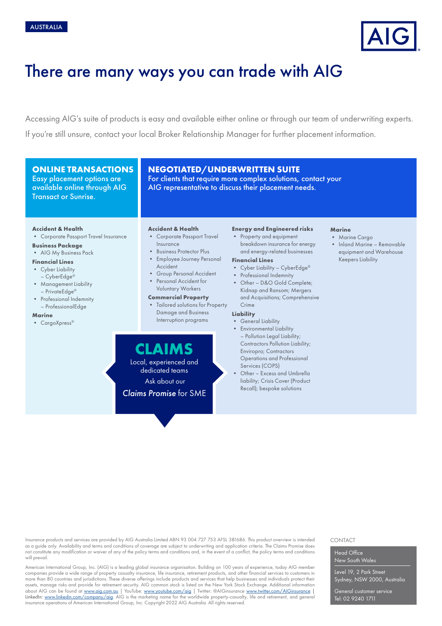

# There are many ways you can trade with AIG

Accessing AIG's suite of products is easy and available either online or through our team of underwriting experts. If you're still unsure, contact your local Broker Relationship Manager for further placement information.

# **ONLINE TRANSACTIONS**

Easy placement options are available online through AIG Transact or Sunrise.

# **NEGOTIATED/UNDERWRITTEN SUITE**

For clients that require more complex solutions, contact your AIG representative to discuss their placement needs.

#### **Accident & Health**

• Corporate Passport Travel Insurance

#### **Business Package**

• AIG My Business Pack

#### **Financial Lines**

- **Cyber Liability**
- CyberEdge® • Management Liability
- PrivateEdge®
- Professional Indemnity – ProfessionalEdge

#### **Marine**

• CargoXpress®

- **Accident & Health**
- Corporate Passport Travel Insurance
- Business Protector Plus
- Employee Journey Personal Accident
- Group Personal Accident
- Personal Accident for Voluntary Workers

#### **Commercial Property**

**CLAIMS** Local, experienced and dedicated teams Ask about our *Claims Promise* for SME

• Tailored solutions for Property Damage and Business Interruption programs

# **Energy and Engineered risks**

• Property and equipment breakdown insurance for energy and energy-related businesses

## **Financial Lines**

- Cyber Liability CyberEdge®
- Professional Indemnity
- Other D&O Gold Complete; Kidnap and Ransom; Mergers and Acquisitions; Comprehensive Crime

# **Liability**

- General Liability • Environmental Liability – Pollution Legal Liability; Contractors Pollution Liability; Enviropro; Contractors Operations and Professional
- Services (COPS) Other - Excess and Umbrella liability; Crisis Cover (Product Recall); bespoke solutions

# **Marine**

- Marine Cargo
- Inland Marine Removable equipment and Warehouse Keepers Liability

Insurance products and services are provided by AIG Australia Limited ABN 93 004 727 753 AFSL 381686. This product overview is intended as a guide only. Availability and terms and conditions of coverage are subject to underwriting and application criteria. The Claims Promise does not constitute any modification or waiver of any of the policy terms and conditions and, in the event of a conflict, the policy terms and conditions will prevail.

American International Group, Inc. (AIG) is a leading global insurance organisation. Building on 100 years of experience, today AIG member companies provide a wide range of property casualty insurance, life insurance, retirement products, and other financial services to customers in more than 80 countries and jurisdictions. These diverse offerings include products and services that help businesses and individuals protect their assets, manage risks and provide for retirement security. AIG common stock is listed on the New York Stock Exchange. Additional information about AIG can be found at [www.aig.com.au](http://www.aig.com.au) | YouTube: [www.youtube.com/aig](http://www.youtube.com/aig) | Twitter: @AIGinsurance [www.twitter.com/AIGinsurance](http://www.twitter.com/AIGinsurance) | LinkedIn: [www.linkedin.com/company/aig](http://www.linkedin.com/company/aig). AIG is the marketing name for the worldwide property-casualty, life and retirement, and general insurance operations of American International Group, Inc. Copyright 2022 AIG Australia. All rights reserved.

#### CONTACT

#### Head Office New South Wales

Level 19, 2 Park Street Sydney, NSW 2000, Australia

General customer service Tel: 02 9240 1711